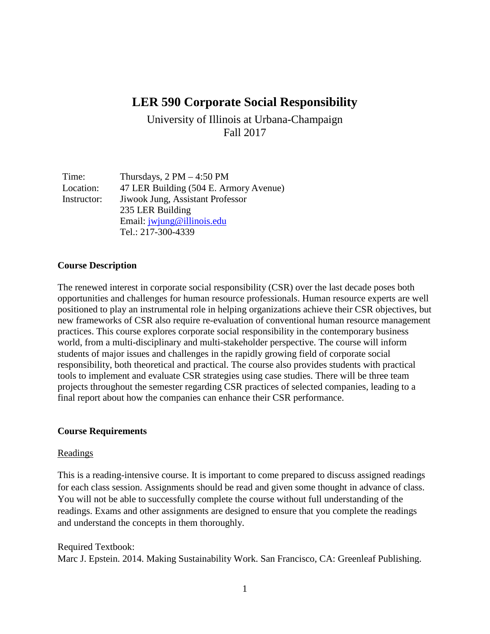# **LER 590 Corporate Social Responsibility**

University of Illinois at Urbana-Champaign Fall 2017

| Time:       | Thursdays, $2 PM - 4:50 PM$            |
|-------------|----------------------------------------|
| Location:   | 47 LER Building (504 E. Armory Avenue) |
| Instructor: | Jiwook Jung, Assistant Professor       |
|             | 235 LER Building                       |
|             | Email: jwjung@illinois.edu             |
|             | Tel.: 217-300-4339                     |

#### **Course Description**

The renewed interest in corporate social responsibility (CSR) over the last decade poses both opportunities and challenges for human resource professionals. Human resource experts are well positioned to play an instrumental role in helping organizations achieve their CSR objectives, but new frameworks of CSR also require re-evaluation of conventional human resource management practices. This course explores corporate social responsibility in the contemporary business world, from a multi-disciplinary and multi-stakeholder perspective. The course will inform students of major issues and challenges in the rapidly growing field of corporate social responsibility, both theoretical and practical. The course also provides students with practical tools to implement and evaluate CSR strategies using case studies. There will be three team projects throughout the semester regarding CSR practices of selected companies, leading to a final report about how the companies can enhance their CSR performance.

#### **Course Requirements**

#### Readings

This is a reading-intensive course. It is important to come prepared to discuss assigned readings for each class session. Assignments should be read and given some thought in advance of class. You will not be able to successfully complete the course without full understanding of the readings. Exams and other assignments are designed to ensure that you complete the readings and understand the concepts in them thoroughly.

#### Required Textbook:

Marc J. Epstein. 2014. Making Sustainability Work. San Francisco, CA: Greenleaf Publishing.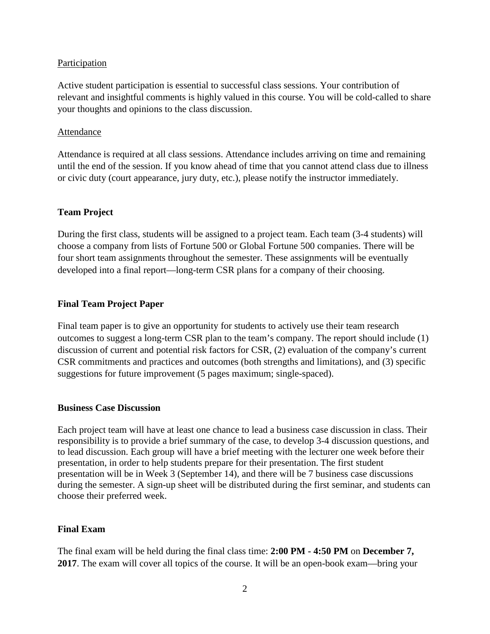#### Participation

Active student participation is essential to successful class sessions. Your contribution of relevant and insightful comments is highly valued in this course. You will be cold-called to share your thoughts and opinions to the class discussion.

#### Attendance

Attendance is required at all class sessions. Attendance includes arriving on time and remaining until the end of the session. If you know ahead of time that you cannot attend class due to illness or civic duty (court appearance, jury duty, etc.), please notify the instructor immediately.

#### **Team Project**

During the first class, students will be assigned to a project team. Each team (3-4 students) will choose a company from lists of Fortune 500 or Global Fortune 500 companies. There will be four short team assignments throughout the semester. These assignments will be eventually developed into a final report—long-term CSR plans for a company of their choosing.

#### **Final Team Project Paper**

Final team paper is to give an opportunity for students to actively use their team research outcomes to suggest a long-term CSR plan to the team's company. The report should include (1) discussion of current and potential risk factors for CSR, (2) evaluation of the company's current CSR commitments and practices and outcomes (both strengths and limitations), and (3) specific suggestions for future improvement (5 pages maximum; single-spaced).

#### **Business Case Discussion**

Each project team will have at least one chance to lead a business case discussion in class. Their responsibility is to provide a brief summary of the case, to develop 3-4 discussion questions, and to lead discussion. Each group will have a brief meeting with the lecturer one week before their presentation, in order to help students prepare for their presentation. The first student presentation will be in Week 3 (September 14), and there will be 7 business case discussions during the semester. A sign-up sheet will be distributed during the first seminar, and students can choose their preferred week.

#### **Final Exam**

The final exam will be held during the final class time: **2:00 PM - 4:50 PM** on **December 7, 2017**. The exam will cover all topics of the course. It will be an open-book exam—bring your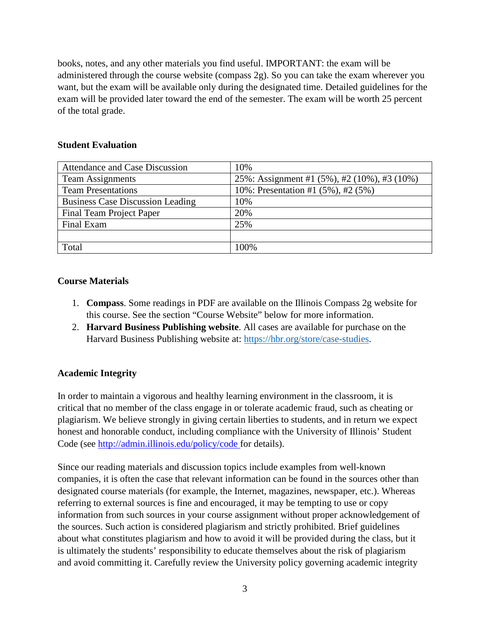books, notes, and any other materials you find useful. IMPORTANT: the exam will be administered through the course website (compass 2g). So you can take the exam wherever you want, but the exam will be available only during the designated time. Detailed guidelines for the exam will be provided later toward the end of the semester. The exam will be worth 25 percent of the total grade.

#### **Student Evaluation**

| Attendance and Case Discussion          | 10%                                         |
|-----------------------------------------|---------------------------------------------|
| <b>Team Assignments</b>                 | 25%: Assignment #1 (5%), #2 (10%), #3 (10%) |
| <b>Team Presentations</b>               | 10%: Presentation #1 (5%), #2 (5%)          |
| <b>Business Case Discussion Leading</b> | 10%                                         |
| Final Team Project Paper                | 20%                                         |
| Final Exam                              | 25%                                         |
|                                         |                                             |
| Total                                   | 100\%                                       |

## **Course Materials**

- 1. **Compass**. Some readings in PDF are available on the Illinois Compass 2g website for this course. See the section "Course Website" below for more information.
- 2. **Harvard Business Publishing website**. All cases are available for purchase on the Harvard Business Publishing website at: [https://hbr.org/store/case-studies.](https://hbr.org/store/case-studies)

## **Academic Integrity**

In order to maintain a vigorous and healthy learning environment in the classroom, it is critical that no member of the class engage in or tolerate academic fraud, such as cheating or plagiarism. We believe strongly in giving certain liberties to students, and in return we expect honest and honorable conduct, including compliance with the University of Illinois' Student Code (see [http://admin.illinois.edu/policy/code f](http://admin.illinois.edu/policy/code)or details).

Since our reading materials and discussion topics include examples from well-known companies, it is often the case that relevant information can be found in the sources other than designated course materials (for example, the Internet, magazines, newspaper, etc.). Whereas referring to external sources is fine and encouraged, it may be tempting to use or copy information from such sources in your course assignment without proper acknowledgement of the sources. Such action is considered plagiarism and strictly prohibited. Brief guidelines about what constitutes plagiarism and how to avoid it will be provided during the class, but it is ultimately the students' responsibility to educate themselves about the risk of plagiarism and avoid committing it. Carefully review the University policy governing academic integrity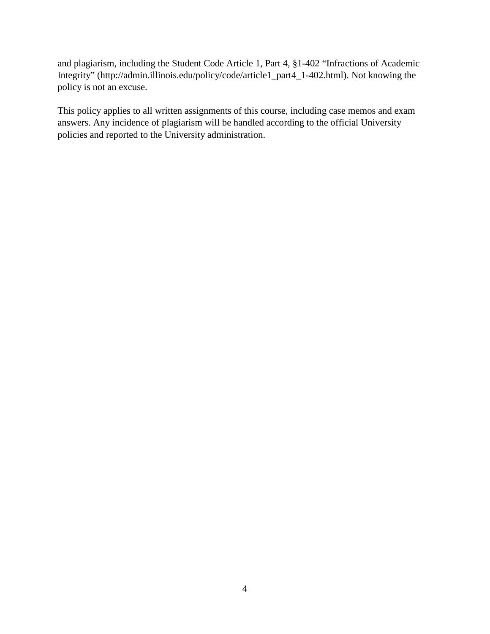and plagiarism, including the Student Code Article 1, Part 4, §1-402 "Infractions of Academic Integrity" (http://admin.illinois.edu/policy/code/article1\_part4\_1-402.html). Not knowing the policy is not an excuse.

This policy applies to all written assignments of this course, including case memos and exam answers. Any incidence of plagiarism will be handled according to the official University policies and reported to the University administration.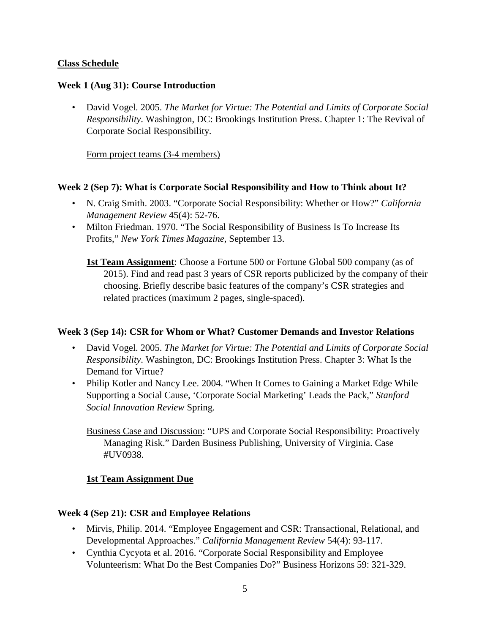## **Class Schedule**

#### **Week 1 (Aug 31): Course Introduction**

• David Vogel. 2005. *The Market for Virtue: The Potential and Limits of Corporate Social Responsibility*. Washington, DC: Brookings Institution Press. Chapter 1: The Revival of Corporate Social Responsibility.

Form project teams (3-4 members)

#### **Week 2 (Sep 7): What is Corporate Social Responsibility and How to Think about It?**

- N. Craig Smith. 2003. "Corporate Social Responsibility: Whether or How?" *California Management Review* 45(4): 52-76.
- Milton Friedman. 1970. "The Social Responsibility of Business Is To Increase Its Profits," *New York Times Magazine*, September 13.
	- **1st Team Assignment**: Choose a Fortune 500 or Fortune Global 500 company (as of 2015). Find and read past 3 years of CSR reports publicized by the company of their choosing. Briefly describe basic features of the company's CSR strategies and related practices (maximum 2 pages, single-spaced).

#### **Week 3 (Sep 14): CSR for Whom or What? Customer Demands and Investor Relations**

- David Vogel. 2005. *The Market for Virtue: The Potential and Limits of Corporate Social Responsibility*. Washington, DC: Brookings Institution Press. Chapter 3: What Is the Demand for Virtue?
- Philip Kotler and Nancy Lee. 2004. "When It Comes to Gaining a Market Edge While Supporting a Social Cause, 'Corporate Social Marketing' Leads the Pack," *Stanford Social Innovation Review* Spring.

Business Case and Discussion: "UPS and Corporate Social Responsibility: Proactively Managing Risk." Darden Business Publishing, University of Virginia. Case #UV0938.

## **1st Team Assignment Due**

## **Week 4 (Sep 21): CSR and Employee Relations**

- Mirvis, Philip. 2014. "Employee Engagement and CSR: Transactional, Relational, and Developmental Approaches." *California Management Review* 54(4): 93-117.
- Cynthia Cycyota et al. 2016. "Corporate Social Responsibility and Employee Volunteerism: What Do the Best Companies Do?" Business Horizons 59: 321-329.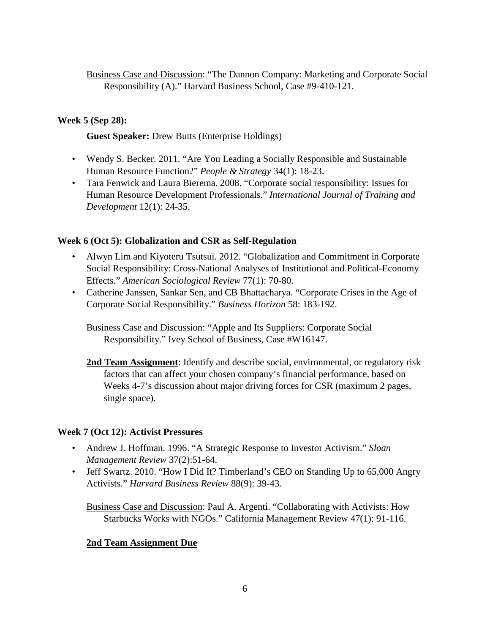Business Case and Discussion: "The Dannon Company: Marketing and Corporate Social Responsibility (A)." Harvard Business School, Case #9-410-121.

# **Week 5 (Sep 28):**

## **Guest Speaker:** Drew Butts (Enterprise Holdings)

- Wendy S. Becker. 2011. "Are You Leading a Socially Responsible and Sustainable Human Resource Function?" *People & Strategy* 34(1): 18-23.
- Tara Fenwick and Laura Bierema. 2008. "Corporate social responsibility: Issues for Human Resource Development Professionals." *International Journal of Training and Development* 12(1): 24-35.

## **Week 6 (Oct 5): Globalization and CSR as Self-Regulation**

- Alwyn Lim and Kiyoteru Tsutsui. 2012. "Globalization and Commitment in Corporate Social Responsibility: Cross-National Analyses of Institutional and Political-Economy Effects." *American Sociological Review* 77(1): 70-80.
- Catherine Janssen, Sankar Sen, and CB Bhattacharya. "Corporate Crises in the Age of Corporate Social Responsibility." *Business Horizon* 58: 183-192.

Business Case and Discussion: "Apple and Its Suppliers: Corporate Social Responsibility." Ivey School of Business, Case #W16147.

**2nd Team Assignment**: Identify and describe social, environmental, or regulatory risk factors that can affect your chosen company's financial performance, based on Weeks 4-7's discussion about major driving forces for CSR (maximum 2 pages, single space).

## **Week 7 (Oct 12): Activist Pressures**

- Andrew J. Hoffman. 1996. "A Strategic Response to Investor Activism." *Sloan Management Review* 37(2):51-64.
- Jeff Swartz. 2010. "How I Did It? Timberland's CEO on Standing Up to 65,000 Angry Activists." *Harvard Business Review* 88(9): 39-43.

Business Case and Discussion: Paul A. Argenti. "Collaborating with Activists: How Starbucks Works with NGOs." California Management Review 47(1): 91-116.

## **2nd Team Assignment Due**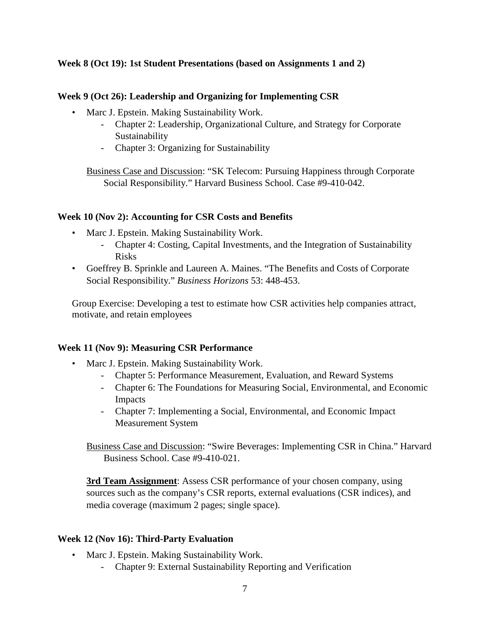#### **Week 8 (Oct 19): 1st Student Presentations (based on Assignments 1 and 2)**

#### **Week 9 (Oct 26): Leadership and Organizing for Implementing CSR**

- Marc J. Epstein. Making Sustainability Work.
	- Chapter 2: Leadership, Organizational Culture, and Strategy for Corporate Sustainability
	- Chapter 3: Organizing for Sustainability

Business Case and Discussion: "SK Telecom: Pursuing Happiness through Corporate Social Responsibility." Harvard Business School. Case #9-410-042.

#### **Week 10 (Nov 2): Accounting for CSR Costs and Benefits**

- Marc J. Epstein. Making Sustainability Work.
	- Chapter 4: Costing, Capital Investments, and the Integration of Sustainability Risks
- Goeffrey B. Sprinkle and Laureen A. Maines. "The Benefits and Costs of Corporate Social Responsibility." *Business Horizons* 53: 448-453.

Group Exercise: Developing a test to estimate how CSR activities help companies attract, motivate, and retain employees

## **Week 11 (Nov 9): Measuring CSR Performance**

- Marc J. Epstein. Making Sustainability Work.
	- Chapter 5: Performance Measurement, Evaluation, and Reward Systems
	- Chapter 6: The Foundations for Measuring Social, Environmental, and Economic Impacts
	- Chapter 7: Implementing a Social, Environmental, and Economic Impact Measurement System

Business Case and Discussion: "Swire Beverages: Implementing CSR in China." Harvard Business School. Case #9-410-021.

**3rd Team Assignment**: Assess CSR performance of your chosen company, using sources such as the company's CSR reports, external evaluations (CSR indices), and media coverage (maximum 2 pages; single space).

## **Week 12 (Nov 16): Third-Party Evaluation**

- Marc J. Epstein. Making Sustainability Work.
	- Chapter 9: External Sustainability Reporting and Verification